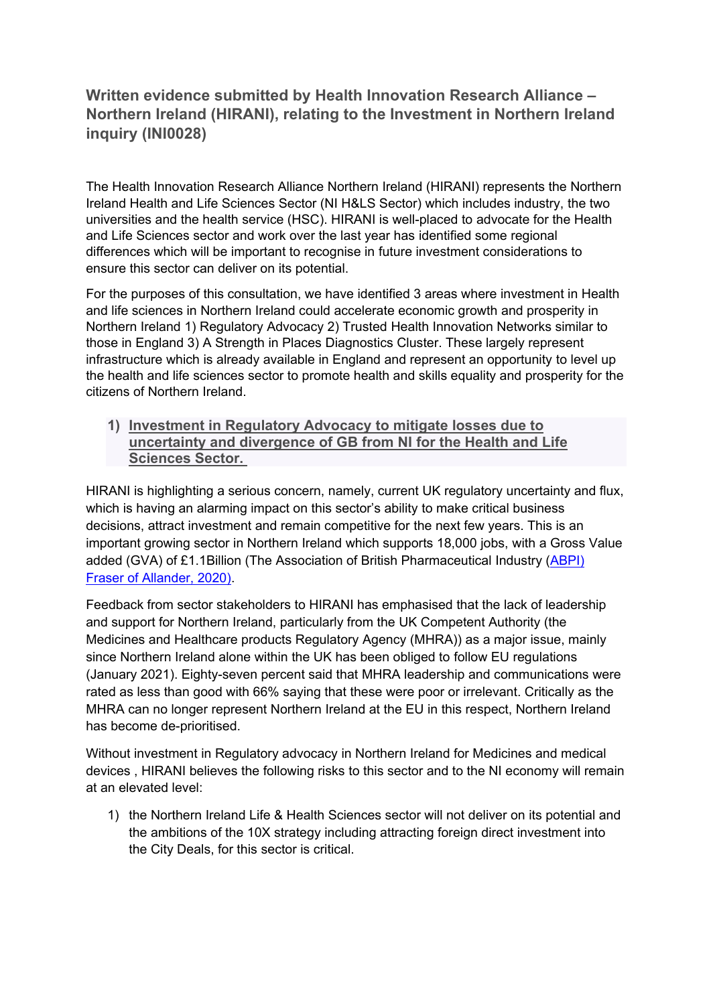## **Written evidence submitted by Health Innovation Research Alliance – Northern Ireland (HIRANI), relating to the Investment in Northern Ireland inquiry (INI0028)**

The Health Innovation Research Alliance Northern Ireland (HIRANI) represents the Northern Ireland Health and Life Sciences Sector (NI H&LS Sector) which includes industry, the two universities and the health service (HSC). HIRANI is well-placed to advocate for the Health and Life Sciences sector and work over the last year has identified some regional differences which will be important to recognise in future investment considerations to ensure this sector can deliver on its potential.

For the purposes of this consultation, we have identified 3 areas where investment in Health and life sciences in Northern Ireland could accelerate economic growth and prosperity in Northern Ireland 1) Regulatory Advocacy 2) Trusted Health Innovation Networks similar to those in England 3) A Strength in Places Diagnostics Cluster. These largely represent infrastructure which is already available in England and represent an opportunity to level up the health and life sciences sector to promote health and skills equality and prosperity for the citizens of Northern Ireland.

**1) Investment in Regulatory Advocacy to mitigate losses due to uncertainty and divergence of GB from NI for the Health and Life Sciences Sector.**

HIRANI is highlighting a serious concern, namely, current UK regulatory uncertainty and flux, which is having an alarming impact on this sector's ability to make critical business decisions, attract investment and remain competitive for the next few years. This is an important growing sector in Northern Ireland which supports 18,000 jobs, with a Gross Value added (GVA) of £1.1Billion (The Association of British Pharmaceutical Industry ([ABPI\)](https://www.abpi.org.uk/publications/contribution-of-the-pharmaceutical-sector-to-northern-ireland-s-economy/) [Fraser](https://www.abpi.org.uk/publications/contribution-of-the-pharmaceutical-sector-to-northern-ireland-s-economy/) [of](https://www.abpi.org.uk/publications/contribution-of-the-pharmaceutical-sector-to-northern-ireland-s-economy/) [Allander,](https://www.abpi.org.uk/publications/contribution-of-the-pharmaceutical-sector-to-northern-ireland-s-economy/) [2020\)](https://www.abpi.org.uk/publications/contribution-of-the-pharmaceutical-sector-to-northern-ireland-s-economy/).

Feedback from sector stakeholders to HIRANI has emphasised that the lack of leadership and support for Northern Ireland, particularly from the UK Competent Authority (the Medicines and Healthcare products Regulatory Agency (MHRA)) as a major issue, mainly since Northern Ireland alone within the UK has been obliged to follow EU regulations (January 2021). Eighty-seven percent said that MHRA leadership and communications were rated as less than good with 66% saying that these were poor or irrelevant. Critically as the MHRA can no longer represent Northern Ireland at the EU in this respect, Northern Ireland has become de-prioritised.

Without investment in Regulatory advocacy in Northern Ireland for Medicines and medical devices , HIRANI believes the following risks to this sector and to the NI economy will remain at an elevated level:

1) the Northern Ireland Life & Health Sciences sector will not deliver on its potential and the ambitions of the 10X strategy including attracting foreign direct investment into the City Deals, for this sector is critical.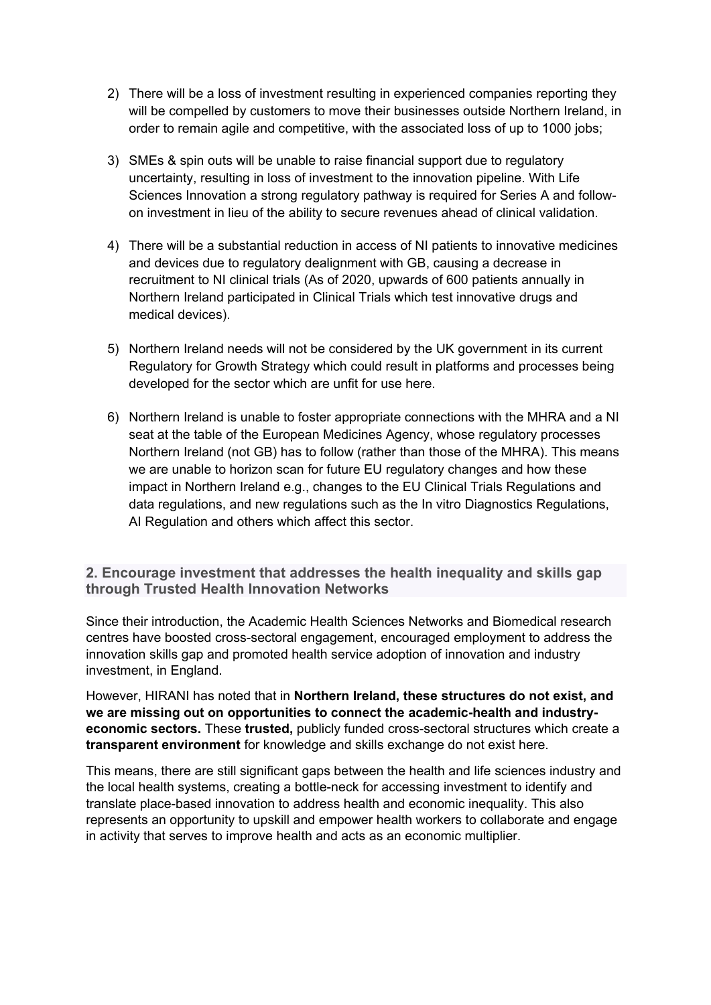- 2) There will be a loss of investment resulting in experienced companies reporting they will be compelled by customers to move their businesses outside Northern Ireland, in order to remain agile and competitive, with the associated loss of up to 1000 jobs;
- 3) SMEs & spin outs will be unable to raise financial support due to regulatory uncertainty, resulting in loss of investment to the innovation pipeline. With Life Sciences Innovation a strong regulatory pathway is required for Series A and followon investment in lieu of the ability to secure revenues ahead of clinical validation.
- 4) There will be a substantial reduction in access of NI patients to innovative medicines and devices due to regulatory dealignment with GB, causing a decrease in recruitment to NI clinical trials (As of 2020, upwards of 600 patients annually in Northern Ireland participated in Clinical Trials which test innovative drugs and medical devices).
- 5) Northern Ireland needs will not be considered by the UK government in its current Regulatory for Growth Strategy which could result in platforms and processes being developed for the sector which are unfit for use here.
- 6) Northern Ireland is unable to foster appropriate connections with the MHRA and a NI seat at the table of the European Medicines Agency, whose regulatory processes Northern Ireland (not GB) has to follow (rather than those of the MHRA). This means we are unable to horizon scan for future EU regulatory changes and how these impact in Northern Ireland e.g., changes to the EU Clinical Trials Regulations and data regulations, and new regulations such as the In vitro Diagnostics Regulations, AI Regulation and others which affect this sector.

**2. Encourage investment that addresses the health inequality and skills gap through Trusted Health Innovation Networks**

Since their introduction, the Academic Health Sciences Networks and Biomedical research centres have boosted cross-sectoral engagement, encouraged employment to address the innovation skills gap and promoted health service adoption of innovation and industry investment, in England.

However, HIRANI has noted that in **Northern Ireland, these structures do not exist, and we are missing out on opportunities to connect the academic-health and industryeconomic sectors.** These **trusted,** publicly funded cross-sectoral structures which create a **transparent environment** for knowledge and skills exchange do not exist here.

This means, there are still significant gaps between the health and life sciences industry and the local health systems, creating a bottle-neck for accessing investment to identify and translate place-based innovation to address health and economic inequality. This also represents an opportunity to upskill and empower health workers to collaborate and engage in activity that serves to improve health and acts as an economic multiplier.